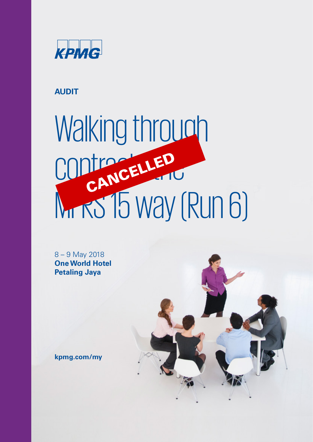

# **AUDIT**

# Walking through CONTRACTLED Mr RS 15 way (Run 6) CANCELLED

8 – 9 May 2018 **One World Hotel Petaling Jaya**



**kpmg.com/my**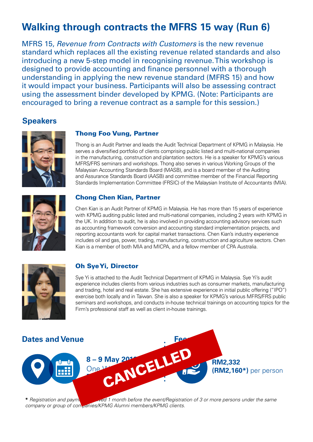# **Walking through contracts the MFRS 15 way (Run 6)**

MFRS 15, Revenue from Contracts with Customers is the new revenue standard which replaces all the existing revenue related standards and also introducing a new 5-step model in recognising revenue. This workshop is designed to provide accounting and finance personnel with a thorough understanding in applying the new revenue standard (MFRS 15) and how it would impact your business. Participants will also be assessing contract using the assessment binder developed by KPMG. (Note: Participants are encouraged to bring a revenue contract as a sample for this session.)

#### **Speakers**



#### Thong Foo Vung, Partner

Thong is an Audit Partner and leads the Audit Technical Department of KPMG in Malaysia. He serves a diversified portfolio of clients comprising public listed and multi-national companies in the manufacturing, construction and plantation sectors. He is a speaker for KPMG's various MFRS/FRS seminars and workshops. Thong also serves in various Working Groups of the Malaysian Accounting Standards Board (MASB), and is a board member of the Auditing and Assurance Standards Board (AASB) and committee member of the Financial Reporting Standards Implementation Committee (FRSIC) of the Malaysian Institute of Accountants (MIA).



#### Chong Chen Kian, Partner

Chen Kian is an Audit Partner of KPMG in Malaysia. He has more than 15 years of experience with KPMG auditing public listed and multi-national companies, including 2 years with KPMG in the UK. In addition to audit, he is also involved in providing accounting advisory services such as accounting framework conversion and accounting standard implementation projects, and reporting accountants work for capital market transactions. Chen Kian's industry experience includes oil and gas, power, trading, manufacturing, construction and agriculture sectors. Chen Kian is a member of both MIA and MICPA, and a fellow member of CPA Australia.



#### Oh Sye Yi, Director

Sye Yi is attached to the Audit Technical Department of KPMG in Malaysia. Sye Yi's audit experience includes clients from various industries such as consumer markets, manufacturing and trading, hotel and real estate. She has extensive experience in initial public offering ("IPO") exercise both locally and in Taiwan. She is also a speaker for KPMG's various MFRS/FRS public seminars and workshops, and conducts in-house technical trainings on accounting topics for the Firm's professional staff as well as client in-house trainings.



\* Registration and payment received 1 month before the event/Registration of 3 or more persons under the same company or group of companies/KPMG Alumni members/KPMG clients.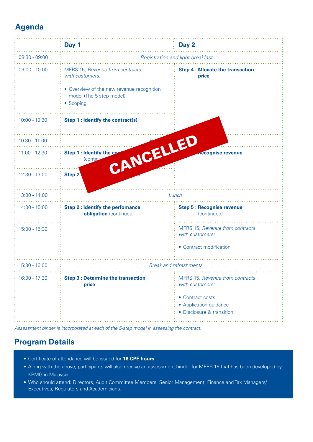## **Agenda**

|                 | Day 1                                                                                                                                    | Day 2                                                                                                                         |
|-----------------|------------------------------------------------------------------------------------------------------------------------------------------|-------------------------------------------------------------------------------------------------------------------------------|
| $08:30 - 09:00$ | Registration and light breakfast                                                                                                         |                                                                                                                               |
| $09:00 - 10:00$ | MFRS 15, Revenue from contracts<br>with customers:<br>• Overview of the new revenue recognition<br>model (The 5-step model)<br>• Scoping | <b>Step 4: Allocate the transaction</b><br>price                                                                              |
| $10:00 - 10:30$ | <b>Step 1: Identify the contract(s)</b>                                                                                                  |                                                                                                                               |
| $10:30 - 11:00$ |                                                                                                                                          |                                                                                                                               |
| $11:00 - 12:30$ | CANCELLED<br>Step 1 : Identify the con<br>(continu                                                                                       | <b>necognise revenue</b>                                                                                                      |
| $12:30 - 13:00$ | Step 2                                                                                                                                   |                                                                                                                               |
| $13:00 - 14:00$ | Lunch                                                                                                                                    |                                                                                                                               |
| $14:00 - 15:00$ | <b>Step 2: Identify the perfomance</b><br>obligation (continued)                                                                         | <b>Step 5: Recognise revenue</b><br>(continued)                                                                               |
| $15:00 - 15:30$ |                                                                                                                                          | MFRS 15, Revenue from contracts<br>with customers:<br>• Contract modification                                                 |
| 15:30 - 16:00   |                                                                                                                                          |                                                                                                                               |
|                 | <b>Break and refreshments</b>                                                                                                            |                                                                                                                               |
| 16:00 - 17:30   | <b>Step 3 : Determine the transaction</b><br>price                                                                                       | MFRS 15, Revenue from contracts<br>with customers:<br>• Contract costs<br>• Application guidance<br>• Disclosure & transition |

Assessment binder is incorporated at each of the 5-step model in assessing the contract.

### **Program Details**

- Certificate of attendance will be issued for **16 CPE hours**.
- Along with the above, participants will also receive an assessment binder for MFRS 15 that has been developed by KPMG in Malaysia.
- Who should attend: Directors, Audit Committee Members, Senior Management, Finance and Tax Managers/ Executives, Regulators and Academicians.